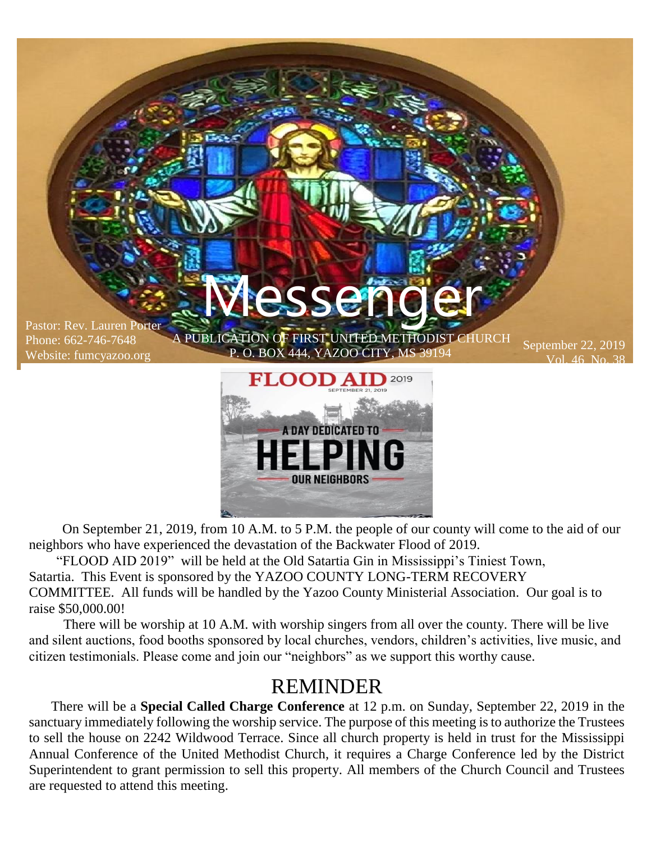

**OUR NEIGHBORS** 

 On September 21, 2019, from 10 A.M. to 5 P.M. the people of our county will come to the aid of our neighbors who have experienced the devastation of the Backwater Flood of 2019.

"FLOOD AID 2019" will be held at the Old Satartia Gin in Mississippi's Tiniest Town, Satartia. This Event is sponsored by the YAZOO COUNTY LONG-TERM RECOVERY COMMITTEE. All funds will be handled by the Yazoo County Ministerial Association. Our goal is to raise \$50,000.00!

There will be worship at 10 A.M. with worship singers from all over the county. There will be live and silent auctions, food booths sponsored by local churches, vendors, children's activities, live music, and citizen testimonials. Please come and join our "neighbors" as we support this worthy cause.

#### REMINDER

 There will be a **Special Called Charge Conference** at 12 p.m. on Sunday, September 22, 2019 in the sanctuary immediately following the worship service. The purpose of this meeting is to authorize the Trustees to sell the house on 2242 Wildwood Terrace. Since all church property is held in trust for the Mississippi Annual Conference of the United Methodist Church, it requires a Charge Conference led by the District Superintendent to grant permission to sell this property. All members of the Church Council and Trustees are requested to attend this meeting.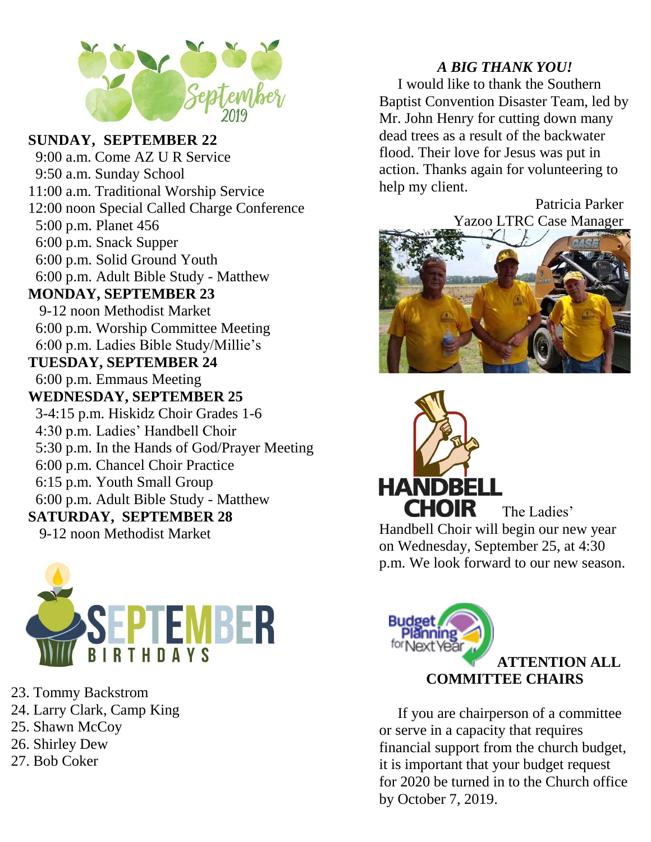

#### **SUNDAY, SEPTEMBER 22**

 9:00 a.m. Come AZ U R Service 9:50 a.m. Sunday School 11:00 a.m. Traditional Worship Service 12:00 noon Special Called Charge Conference 5:00 p.m. Planet 456 6:00 p.m. Snack Supper 6:00 p.m. Solid Ground Youth 6:00 p.m. Adult Bible Study - Matthew **MONDAY, SEPTEMBER 23** 9-12 noon Methodist Market 6:00 p.m. Worship Committee Meeting 6:00 p.m. Ladies Bible Study/Millie's **TUESDAY, SEPTEMBER 24** 6:00 p.m. Emmaus Meeting **WEDNESDAY, SEPTEMBER 25** 3-4:15 p.m. Hiskidz Choir Grades 1-6 4:30 p.m. Ladies' Handbell Choir 5:30 p.m. In the Hands of God/Prayer Meeting 6:00 p.m. Chancel Choir Practice 6:15 p.m. Youth Small Group 6:00 p.m. Adult Bible Study - Matthew **SATURDAY, SEPTEMBER 28** 9-12 noon Methodist Market



- 23. Tommy Backstrom
- 24. Larry Clark, Camp King
- 25. Shawn McCoy
- 26. Shirley Dew
- 27. Bob Coker

#### *A BIG THANK YOU!*

 I would like to thank the Southern Baptist Convention Disaster Team, led by Mr. John Henry for cutting down many dead trees as a result of the backwater flood. Their love for Jesus was put in action. Thanks again for volunteering to help my client.

> Patricia Parker Yazoo LTRC Case Manager





The Ladies' Handbell Choir will begin our new year on Wednesday, September 25, at 4:30 p.m. We look forward to our new season.



 If you are chairperson of a committee or serve in a capacity that requires financial support from the church budget, it is important that your budget request for 2020 be turned in to the Church office by October 7, 2019.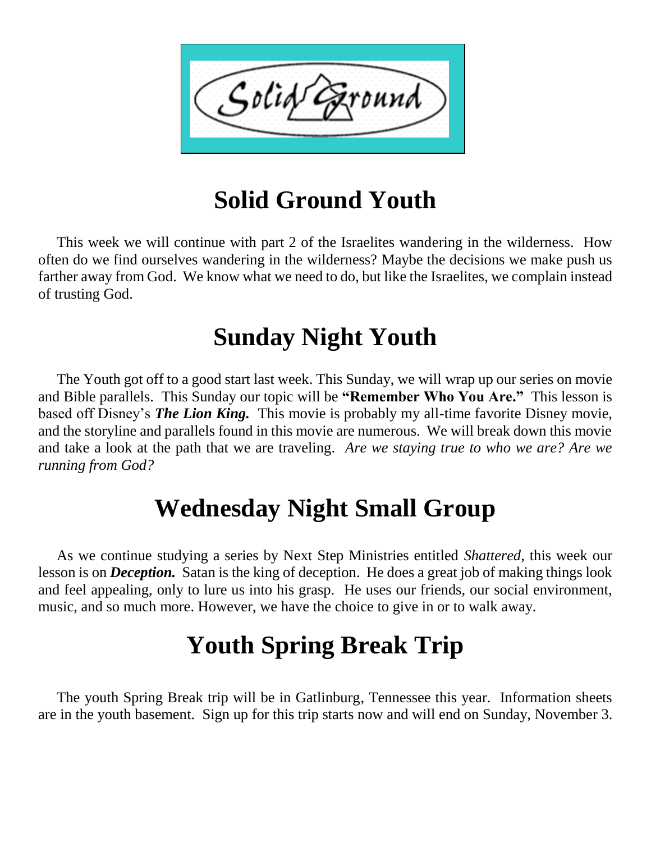

# **Solid Ground Youth**

 This week we will continue with part 2 of the Israelites wandering in the wilderness. How often do we find ourselves wandering in the wilderness? Maybe the decisions we make push us farther away from God. We know what we need to do, but like the Israelites, we complain instead of trusting God.

# **Sunday Night Youth**

 The Youth got off to a good start last week. This Sunday, we will wrap up our series on movie and Bible parallels. This Sunday our topic will be **"Remember Who You Are."** This lesson is based off Disney's *The Lion King.* This movie is probably my all-time favorite Disney movie, and the storyline and parallels found in this movie are numerous. We will break down this movie and take a look at the path that we are traveling. *Are we staying true to who we are? Are we running from God?*

# **Wednesday Night Small Group**

 As we continue studying a series by Next Step Ministries entitled *Shattered,* this week our lesson is on *Deception.* Satan is the king of deception. He does a great job of making things look and feel appealing, only to lure us into his grasp. He uses our friends, our social environment, music, and so much more. However, we have the choice to give in or to walk away.

# **Youth Spring Break Trip**

 The youth Spring Break trip will be in Gatlinburg, Tennessee this year. Information sheets are in the youth basement. Sign up for this trip starts now and will end on Sunday, November 3.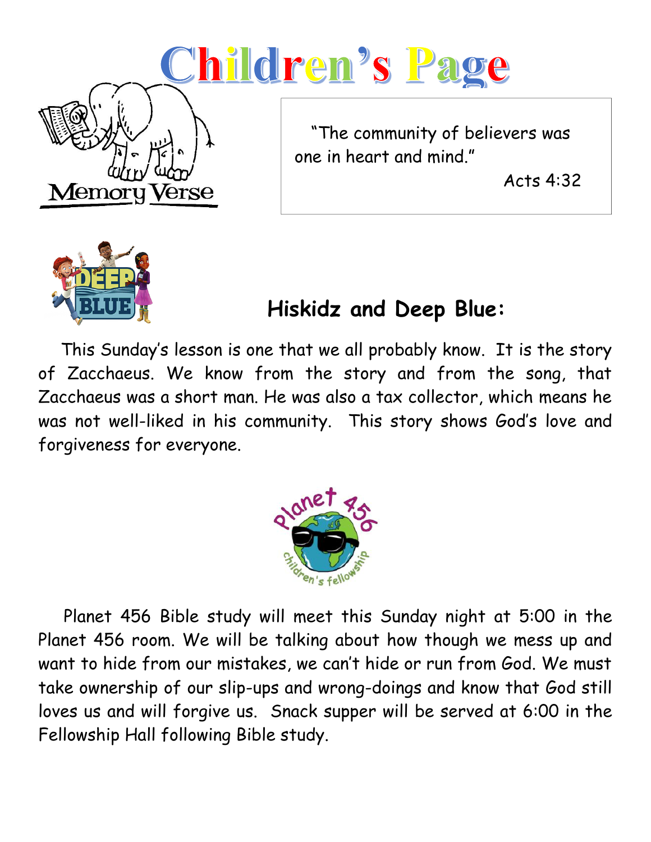



# **Hiskidz and Deep Blue:**

 This Sunday's lesson is one that we all probably know. It is the story of Zacchaeus. We know from the story and from the song, that Zacchaeus was a short man. He was also a tax collector, which means he was not well-liked in his community. This story shows God's love and forgiveness for everyone.



 Planet 456 Bible study will meet this Sunday night at 5:00 in the Planet 456 room. We will be talking about how though we mess up and want to hide from our mistakes, we can't hide or run from God. We must take ownership of our slip-ups and wrong-doings and know that God still loves us and will forgive us. Snack supper will be served at 6:00 in the Fellowship Hall following Bible study.